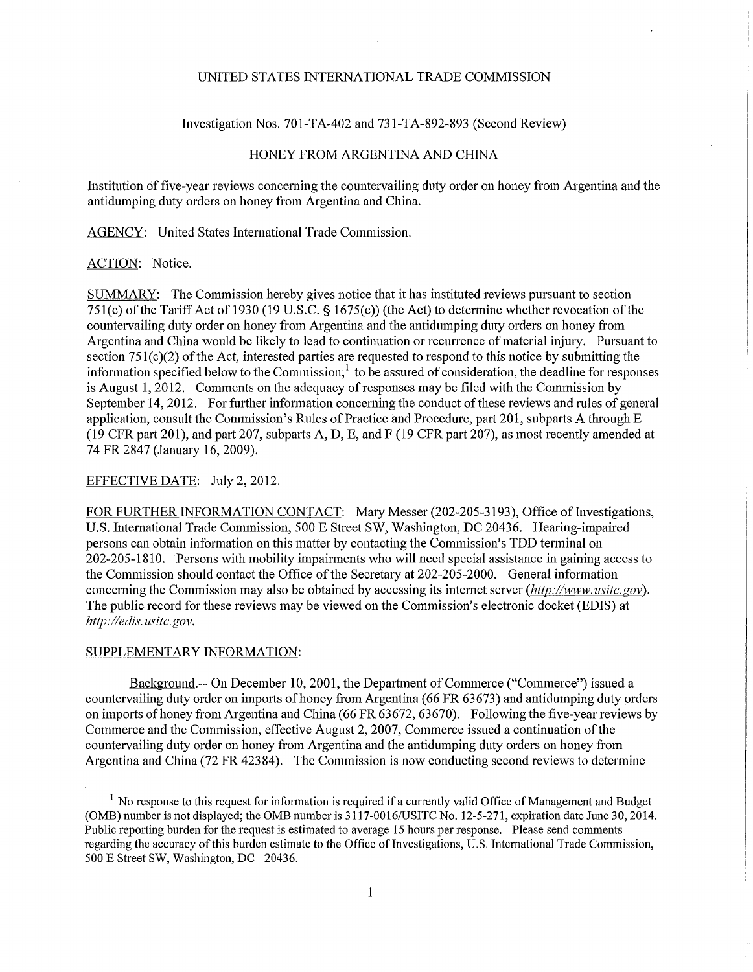# UNITED STATES INTERNATIONAL TRADE COMMISSION

### Investigation Nos. 701-TA-402 and 731-TA-892-893 (Second Review)

# HONEY FROM ARGENTINA AND CHINA

Institution of five-year reviews concerning the countervailing duty order on honey from Argentina and the antidumping duty orders on honey from Argentina and China.

AGENCY: United States International Trade Commission.

#### ACTION: Notice.

SUMMARY: The Commission hereby gives notice that it has instituted reviews pursuant to section 751(c) of the Tariff Act of 1930 (19 U.S.C. § 1675(c)) (the Act) to determine whether revocation of the countervailing duty order on honey from Argentina and the antidumping duty orders on honey from Argentina and China would be likely to lead to continuation or recurrence of material injury. Pursuant to section  $751(c)(2)$  of the Act, interested parties are requested to respond to this notice by submitting the information specified below to the Commission;<sup>1</sup> to be assured of consideration, the deadline for responses is August 1,2012. Comments on the adequacy of responses may be filed with the Commission by September 14, 2012. For further information concerning the conduct of these reviews and rules of general application, consult the Commission's Rules of Practice and Procedure, part 201, subparts A through E (19 CFR part 201), and part 207, subparts A, D, E, and F (19 CFR part 207), as most recently amended at 74 FR 2847 (January 16,2009).

## EFFECTIVE DATE: July 2, 2012.

FOR FURTHER INFORMATION CONTACT: Mary Messer (202-205-3193), Office of Investigations, U.S. International Trade Commission, 500 E Street SW, Washington, DC 20436. Hearing-impaired persons can obtain information on this matter by contacting the Commission's TDD terminal on 202-205-1810. Persons with mobility impairments who will need special assistance in gaining access to the Commission should contact the Office of the Secretary at 202-205-2000. General information concerning the Commission may also be obtained by accessing its internet server *(http://www.usitc.gov)*. The public record for these reviews may be viewed on the Commission's electronic docket (EDIS) at *http://edis. usitc gov.* 

### SUPPLEMENTARY INFORMATION:

Background.— On December 10, 2001, the Department of Commerce ("Commerce") issued a countervailing duty order on imports of honey from Argentina (66 FR 63673) and antidumping duty orders on imports of honey from Argentina and China (66 FR 63672, 63670). Following the five-year reviews by Commerce and the Commission, effective August 2, 2007, Commerce issued a continuation of the countervailing duty order on honey from Argentina and the antidumping duty orders on honey from Argentina and China (72 FR 42384). The Commission is now conducting second reviews to determine

<sup>&</sup>lt;sup>1</sup> No response to this request for information is required if a currently valid Office of Management and Budget (OMB) number is not displayed; the OMB number is 3117-0016/USITC No. 12-5-271, expiration date June 30,2014. Public reporting burden for the request is estimated to average 15 hours per response. Please send comments regarding the accuracy of this burden estimate to the Office of Investigations, U.S. International Trade Commission, 500 E Street SW, Washington, DC 20436.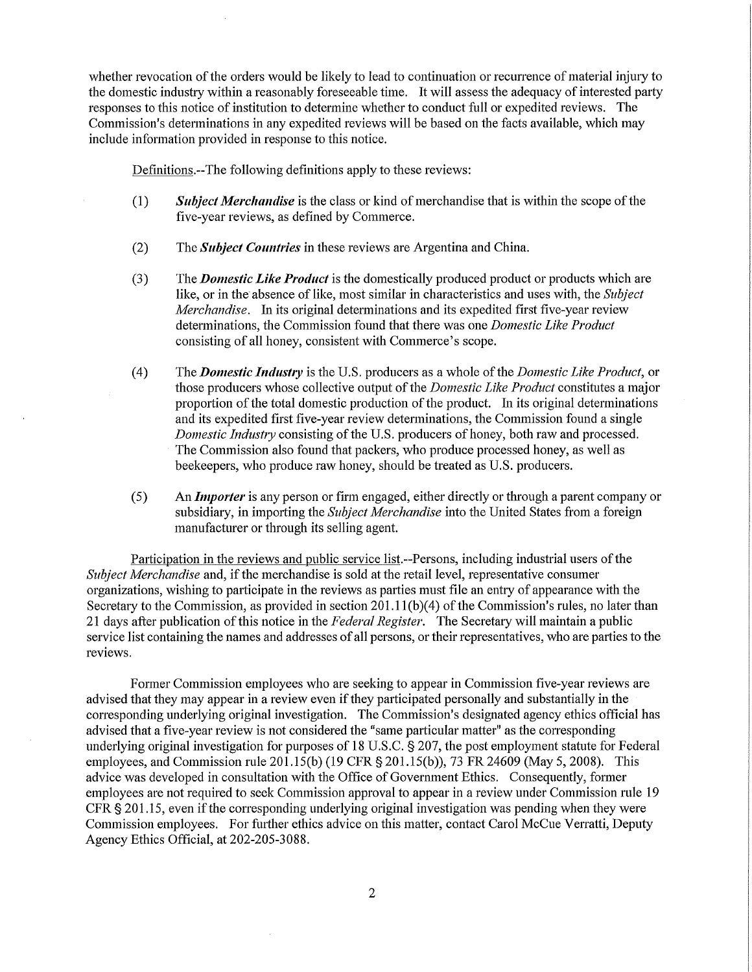whether revocation of the orders would be likely to lead to continuation or recurrence of material injury to the domestic industiy within a reasonably foreseeable time. It will assess the adequacy of interested party responses to this notice of institution to determine whether to conduct full or expedited reviews. The Commission's determinations in any expedited reviews will be based on the facts available, which may include information provided in response to this notice.

Defmitions.-The following definitions apply to these reviews:

- (1) *Subject Merchandise* is the class or kind of merchandise that is within the scope of the five-year reviews, as defined by Commerce.
- (2) The *Subject Coimtries* in these reviews are Argentina and China.
- (3) The *Domestic Like Product* is the domestically produced product or products which are like, or in the absence of like, most similar in characteristics and uses with, the *Subject Merchandise.* In its original determinations and its expedited first five-year review determinations, the Commission found that there was one *Domestic Like Product*  consisting of all honey, consistent with Commerce's scope.
- (4) The *Domestic Industry* is the U.S. producers as a whole of the *Domestic Like Product,* or those producers whose collective output of the *Domestic Like Product* constitutes a major proportion of the total domestic production of the product. In its original determinations and its expedited first five-year review determinations, the Commission found a single *Domestic Industry* consisting of the U.S. producers of honey, both raw and processed. The Commission also found that packers, who produce processed honey, as well as beekeepers, who produce raw honey, should be treated as U.S. producers.
- (5) An *Importer* is any person or firm engaged, either directly or through a parent company or subsidiaiy, in importing the *Subject Merchandise* into the United States from a foreign manufacturer or through its selling agent.

Participation in the reviews and public service list.—Persons, including industrial users of the *Subject Merchandise* and, if the merchandise is sold at the retail level, representative consumer organizations, wishing to participate in the reviews as parties must file an entiy of appearance with the Secretary to the Commission, as provided in section 201.11(b)(4) of the Commission's rules, no later than 21 days after publication of this notice in the Federal Register. The Secretary will maintain a public service list containing the names and addresses of all persons, or their representatives, who are parties to the reviews.

Former Commission employees who are seeking to appear in Commission five-year reviews are advised that they may appear in a review even if they participated personally and substantially in the corresponding underlying original investigation. The Commission's designated agency ethics official has advised that a five-year review is not considered the "same particular matter" as the corresponding underlying original investigation for purposes of 18 U.S.C. § 207, the post employment statute for Federal employees, and Commission rule 201.15(b) (19 CFR §201.15(b)), 73 FR 24609 (May 5, 2008). This advice was developed in consultation with the Office of Government Ethics. Consequently, former employees are not required to seek Commission approval to appear in a review under Commission rule 19 CFR § 201.15, even if the corresponding underlying original investigation was pending when they were Commission employees. For further ethics advice on this matter, contact Carol McCue Verratti, Deputy Agency Ethics Official, at 202-205-3088.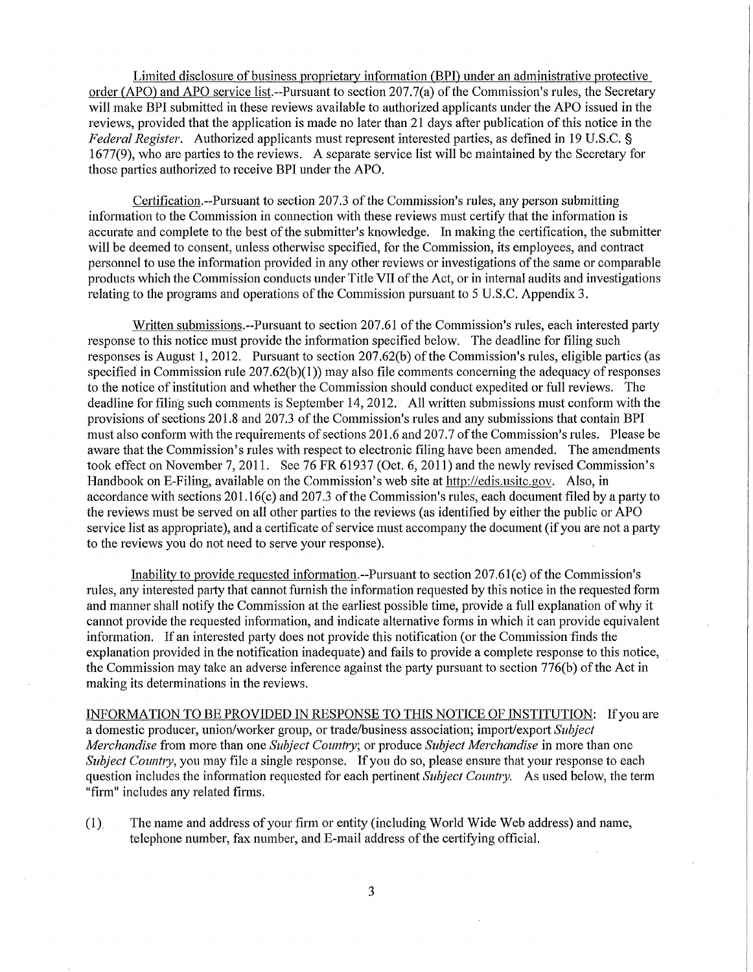Limited disclosure of business proprietary information (BPI) under an administrative protective order (APO) and APO service list.--Pursuant to section 207.7(a) of the Commission's rules, the Secretary will make BPI submitted in these reviews available to authorized applicants under the APO issued in the reviews, provided that the application is made no later than 21 days after publication of this notice in the *Federal Register.* Authorized applicants must represent interested parties, as defined in 19 U.S.C. § 1677(9), who are parties to the reviews. A separate service list will be maintained by the Secretaiy for those parties authorized to receive BPI under the APO.

Certification.—Pursuant to section 207.3 of the Commission's rules, any person submitting information to the Commission in connection with these reviews must certify that the information is accurate and complete to the best of the submitter's knowledge. In making the certification, the submitter will be deemed to consent, unless otherwise specified, for the Commission, its employees, and contract personnel to use the information provided in any other reviews or investigations of the same or comparable products which the Commission conducts under Title VII of the Act, or in internal audits and investigations relating to the programs and operations of the Commission pursuant to 5 U.S.C. Appendix 3.

Written submissions.—Pursuant to section 207.61 of the Commission's rules, each interested party response to this notice must provide the information specified below. The deadline for filing such responses is August 1, 2012. Pursuant to section 207.62(b) of the Commission's rules, eligible parties (as specified in Commission rule 207.62(b)(1)) may also file comments concerning the adequacy of responses to the notice of institution and whether the Commission should conduct expedited or full reviews. The deadline for filing such comments is September 14,2012. All written submissions must conform with the provisions of sections 201.8 and 207.3 of the Commission's rules and any submissions that contain BPI must also conform with the requirements of sections 201.6 and 207.7 of the Commission's rules. Please be aware that the Commission's rules with respect to electronic filing have been amended. The amendments took effect on November 7, 2011. See 76 FR 61937 (Oct. 6, 2011) and the newly revised Commission's Handbook on E-Filing, available on the Commission's web site at http://edis.usitc.gov. Also, in accordance with sections 201.16(c) and 207.3 of the Commission's rules, each document filed by a party to the reviews must be served on all other parties to the reviews (as identified by either the public or APO service list as appropriate), and a certificate of service must accompany the document (if you are not a party to the reviews you do not need to serve your response).

Inability to provide requested information.—Pursuant to section  $207.61(c)$  of the Commission's rules, any interested party that cannot furnish the information requested by this notice in the requested form and manner shall notify the Commission at the earliest possible time, provide a full explanation of why it cannot provide the requested information, and indicate alternative forms in which it can provide equivalent information. If an interested party does not provide this notification (or the Commission finds the explanation provided in the notification inadequate) and fails to provide a complete response to this notice, the Commission may take an adverse inference against the party pursuant to section 776(b) of the Act in making its determinations in the reviews.

INFORMATION TO BE PROVIDED IN RESPONSE TO THIS NOTICE OF INSTITUTION: Ifyou are a domestic producer, union/worker group, or trade/business association; import/export *Subject Merchandise* from more than one *Subject Country;* or produce *Subject Merchandise* in more than one *Subject Country*, you may file a single response. If you do so, please ensure that your response to each question includes the information requested for each pertinent *Subject Country*. As used below, the term "firm" includes any related firms.

(1). The name and address of your firm or entity (including World Wide Web address) and name, telephone number, fax number, and E-mail address of the certifying official.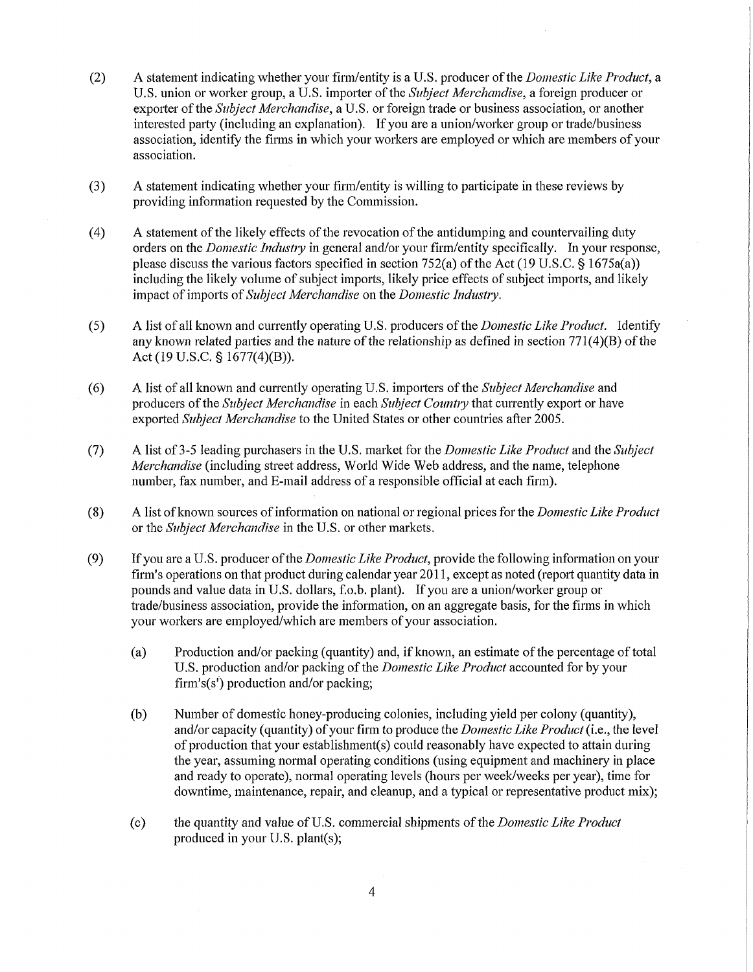- (2) A statement indicating whether your firm/entity is a U.S. producer of the *Domestic Like Product,* a U.S. union or worker group, a U.S. importer of the *Subject Merchandise,* a foreign producer or exporter of the *Subject Merchandise,* a U.S. or foreign trade or business association, or another interested party (including an explanation). If you are a union/worker group or trade/business association, identify the firms in which your workers are employed or which are members of your association.
- (3) A statement indicating whether your firm/entity is willing to participate in these reviews by providing information requested by the Commission.
- (4) A statement of the likely effects of the revocation of the antidumping and countervailing duty orders on the *Domestic Industry* in general and/or your firm/entity specifically. In your response, please discuss the various factors specified in section 752(a) of the Act (19 U.S.C. § 1675a(a)) including the likely volume of subject imports, likely price effects of subject imports, and likely impact of imports of *Subject Merchandise* on the *Domestic Industry.*
- (5) A list of all known and currently operating U.S. producers of the *Domestic Like Product.* Identify any known related parties and the nature of the relationship as defined in section 771(4)(B) of the Act (19 U.S.C. § 1677(4)(B)).
- (6) A list of all Icnown and currently operating U.S. importers of the *Subject Merchandise* and producers of the *Subject Merchandise* in each *Subject Country* that currently export or have exported *Subject Merchandise* to the United States or other countries after 2005.
- (7) A list of 3-5 leading purchasers in the U.S. market for the *Domestic Like Product* and the *Subject Merchandise* (including street address, World Wide Web address, and the name, telephone number, fax number, and E-mail address of a responsible official at each firm).
- (8) A list of known sources of information on national or regional prices for the *Domestic Like Product*  or the *Subject Merchandise* in the U.S. or other markets.
- (9) If you are a U.S. producer of the *Domestic Like Product,* provide the following information on your firm's operations on that product during calendar year 2011, except as noted (report quantity data in pounds and value data in U.S. dollars, f.o.b. plant). If you are a union/worker group or trade/business association, provide the information, on an aggregate basis, for the firms in which your workers are employed/which are members of your association.
	- (a) Production and/or packing (quantity) and, if known, an estimate of the percentage of total U.S. production and/or packing of the *Domestic Like Product* accounted for by your firm's(s') production and/or packing;
	- (b) Number of domestic honey-producing colonies, including yield per colony (quantity), and/or capacity (quantity) of your firm to produce the *Domestic Like Product* (i.e., the level of production that your establishment(s) could reasonably have expected to attain during the year, assuming normal operating conditions (using equipment and machinery in place and ready to operate), normal operating levels (hours per week/weeks per year), time for downtime, maintenance, repair, and cleanup, and a typical or representative product mix);
	- (c) the quantity and value of U.S. commercial shipments of the *Domestic Like Product*  produced in your U.S. plant(s);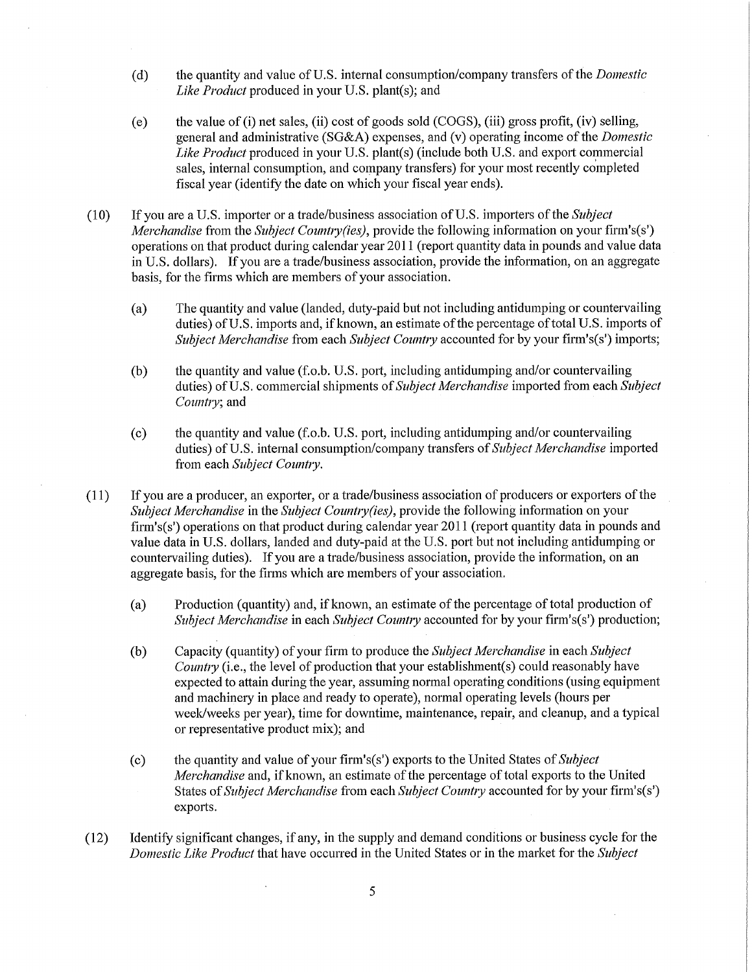- (d) the quantity and value of U.S. internal consumption/company transfers of the *Domestic Like Product* produced in your U.S. plant(s); and
- (e) the value of (i) net sales, (ii) cost of goods sold (COGS), (iii) gross profit, (iv) selling, general and administrative (SG&A) expenses, and (v) operating income of the *Domestic Like Product* produced in your U.S. plant(s) (include both U.S. and export commercial sales, internal consumption, and company transfers) for your most recently completed fiscal year (identify the date on which your fiscal year ends).
- (10) If you are a U.S. importer or a trade/business association of U.S. importers of the *Subject Merchandise* from the *Subject Country(ies),* provide the following information on your firm's(s') operations on that product during calendar year 2011 (report quantity data in pounds and value data in U.S. dollars). If you are a trade/business association, provide the information, on an aggregate basis, for the firms which are members of your association.
	- (a) The quantity and value (landed, duty-paid but not including antidumping or countervailing duties) of U.S. imports and, if known, an estimate of the percentage of total U.S. imports of *Subject Merchandise* from each *Subject Country* accounted for by your firm's(s') imports;
	- (b) the quantity and value (f.o.b. U.S. port, including antidumping and/or countervailing duties) of U.S. commercial shipments of*Subject Merchandise* imported from *each Subject Countiy;* and
	- (c) the quantity and value (f.o.b. U.S. port, including antidumping and/or countervailing duties) of U.S. internal consumption/company transfers of*Subject Merchandise* imported from each *Subject Country.*
- (11) If you are a producer, an exporter, or a trade/business association of producers or exporters of the *Subject Merchandise* in the *Subject Country (ies),* provide the following information on your firm's(s') operations on that product during calendar year 2011 (report quantity data in pounds and value data in U.S. dollars, landed and duty-paid at the U.S. port but not including antidumping or countervailing duties). If you are a trade/business association, provide the information, on an aggregate basis, for the firms which are members of your association.
	- (a) Production (quantity) and, if known, an estimate of the percentage of total production of *Subject Merchandise* in each *Subject Country* accounted for by your firm's(s') production;
	- (b) Capacity (quantity) of your firm to produce the *Subject Merchandise* in each *Subject Country* (i.e., the level of production that your establishment(s) could reasonably have expected to attain during the year, assuming normal operating conditions (using equipment and machinery in place and ready to operate), normal operating levels (hours per week/weeks per year), time for downtime, maintenance, repair, and cleanup, and a typical or representative product mix); and
	- (c) the quantity and value of your firm's(s') exports to the United States of *Subject Merchandise* and, if known, an estimate of the percentage of total exports to the United States of *Subject Merchandise* from each *Subject Country* accounted for by your firm's(s') exports.
- (12) Identify significant changes, if any, in the supply and demand conditions or business cycle for the *Domestic Like Product* that have occurred in the United States or in the market for the *Subject*